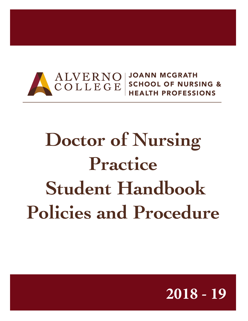

HEALTH PROFESSIONS

# **Doctor of Nursing Practice Student Handbook Policies and Procedure**

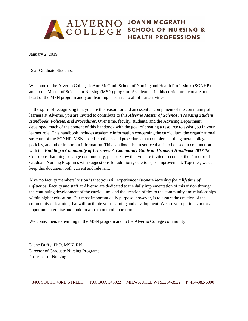

January 2, 2019

Dear Graduate Students,

Welcome to the Alverno College JoAnn McGrath School of Nursing and Health Professions (SONHP) and to the Master of Science in Nursing (MSN) program! As a learner in this curriculum, you are at the heart of the MSN program and your learning is central to all of our activities.

In the spirit of recognizing that you are the reason for and an essential component of the community of learners at Alverno, you are invited to contribute to this *Alverno Master of Science in Nursing Student Handbook, Policies, and Procedures*. Over time, faculty, students, and the Advising Department developed much of the content of this handbook with the goal of creating a resource to assist you in your learner role. This handbook includes academic information concerning the curriculum, the organizational structure of the SONHP, MSN-specific policies and procedures that complement the general college policies, and other important information. This handbook is a resource that is to be used in conjunction with the *Building a Community of Learners: A Community Guide and Student Handbook 2017-18*. Conscious that things change continuously, please know that you are invited to contact the Director of Graduate Nursing Programs with suggestions for additions, deletions, or improvement. Together, we can keep this document both current and relevant.

Alverno faculty members' vision is that you will experience *visionary learning for a lifetime of influence*. Faculty and staff at Alverno are dedicated to the daily implementation of this vision through the continuing development of the curriculum, and the creation of ties to the community and relationships within higher education. Our most important daily purpose, however, is to assure the creation of the community of learning that will facilitate your learning and development. We are your partners in this important enterprise and look forward to our collaboration.

Welcome, then, to learning in the MSN program and to the Alverno College community!

Diane Duffy, PhD, MSN, RN Director of Graduate Nursing Programs Professor of Nursing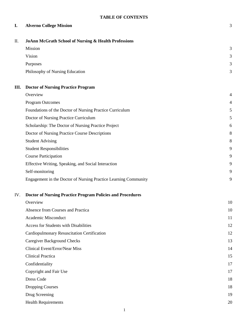# **I. Alverno College Mission** 3

| П.  | <b>JoAnn McGrath School of Nursing &amp; Health Professions</b>   |    |  |  |
|-----|-------------------------------------------------------------------|----|--|--|
|     | Mission                                                           | 3  |  |  |
|     | Vision                                                            | 3  |  |  |
|     | Purposes                                                          | 3  |  |  |
|     | Philosophy of Nursing Education                                   | 3  |  |  |
| Ш.  | <b>Doctor of Nursing Practice Program</b>                         |    |  |  |
|     | Overview                                                          | 4  |  |  |
|     | <b>Program Outcomes</b>                                           | 4  |  |  |
|     | Foundations of the Doctor of Nursing Practice Curriculum          | 5  |  |  |
|     | Doctor of Nursing Practice Curriculum                             | 5  |  |  |
|     | Scholarship: The Doctor of Nursing Practice Project               | 6  |  |  |
|     | Doctor of Nursing Practice Course Descriptions                    | 8  |  |  |
|     | <b>Student Advising</b>                                           | 8  |  |  |
|     | <b>Student Responsibilities</b>                                   | 9  |  |  |
|     | <b>Course Participation</b>                                       | 9  |  |  |
|     | Effective Writing, Speaking, and Social Interaction               | 9  |  |  |
|     | Self-monitoring                                                   | 9  |  |  |
|     | Engagement in the Doctor of Nursing Practice Learning Community   | 9  |  |  |
| IV. | <b>Doctor of Nursing Practice Program Policies and Procedures</b> |    |  |  |
|     | Overview                                                          | 10 |  |  |
|     | Absence from Courses and Practica                                 | 10 |  |  |
|     | Academic Misconduct                                               | 11 |  |  |
|     | Access for Students with Disabilities                             | 12 |  |  |

Caregiver Background Checks 13 Clinical Event/Error/Near Miss 14 Clinical Practica 15 Confidentiality 17 Copyright and Fair Use 17 Dress Code 18 Dropping Courses 18 Drug Screening 19

Cardiopulmonary Resuscitation Certification 12

Health Requirements 20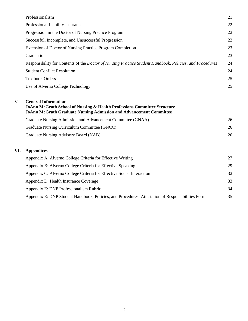|     | Professionalism                                                                                                                                                                                 | 21 |
|-----|-------------------------------------------------------------------------------------------------------------------------------------------------------------------------------------------------|----|
|     | Professional Liability Insurance                                                                                                                                                                | 22 |
|     | Progression in the Doctor of Nursing Practice Program                                                                                                                                           | 22 |
|     | Successful, Incomplete, and Unsuccessful Progression                                                                                                                                            | 22 |
|     | Extension of Doctor of Nursing Practice Program Completion                                                                                                                                      | 23 |
|     | Graduation                                                                                                                                                                                      | 23 |
|     | Responsibility for Contents of the <i>Doctor of Nursing Practice Student Handbook, Policies, and Procedures</i>                                                                                 | 24 |
|     | <b>Student Conflict Resolution</b>                                                                                                                                                              | 24 |
|     | <b>Textbook Orders</b>                                                                                                                                                                          | 25 |
|     | Use of Alverno College Technology                                                                                                                                                               | 25 |
| V.  | <b>General Information:</b><br><b>JoAnn McGrath School of Nursing &amp; Health Professions Committee Structure</b><br><b>JoAnn McGrath Graduate Nursing Admission and Advancement Committee</b> |    |
|     | Graduate Nursing Admission and Advancement Committee (GNAA)                                                                                                                                     | 26 |
|     | Graduate Nursing Curriculum Committee (GNCC)                                                                                                                                                    | 26 |
|     | Graduate Nursing Advisory Board (NAB)                                                                                                                                                           | 26 |
| VI. | <b>Appendices</b>                                                                                                                                                                               |    |
|     | Appendix A: Alverno College Criteria for Effective Writing                                                                                                                                      | 27 |
|     | Appendix B: Alverno College Criteria for Effective Speaking                                                                                                                                     | 29 |
|     | Appendix C: Alverno College Criteria for Effective Social Interaction                                                                                                                           | 32 |
|     | Appendix D: Health Insurance Coverage                                                                                                                                                           | 33 |
|     | Appendix E: DNP Professionalism Rubric                                                                                                                                                          | 34 |
|     | Appendix E: DNP Student Handbook, Policies, and Procedures: Attestation of Responsibilities Form                                                                                                | 35 |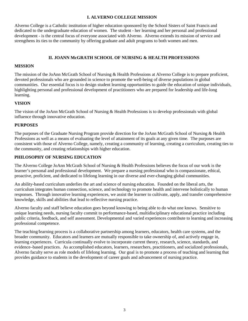#### **I. ALVERNO COLLEGE MISSION**

Alverno College is a Catholic institution of higher education sponsored by the School Sisters of Saint Francis and dedicated to the undergraduate education of women. The student - her learning and her personal and professional development - is the central focus of everyone associated with Alverno. Alverno extends its mission of service and strengthens its ties to the community by offering graduate and adult programs to both women and men.

## **II. JOANN McGRATH SCHOOL OF NURSING & HEALTH PROFESSIONS**

#### **MISSION**

The mission of the JoAnn McGrath School of Nursing & Health Professions at Alverno College is to prepare proficient, devoted professionals who are grounded in science to promote the well-being of diverse populations in global communities. Our essential focus is to design student learning opportunities to guide the education of unique individuals, highlighting personal and professional development of practitioners who are prepared for leadership and life-long learning.

#### **VISION**

The vision of the JoAnn McGrath School of Nursing & Health Professions is to develop professionals with global influence through innovative education.

#### **PURPOSES**

The purposes of the Graduate Nursing Program provide direction for the JoAnn McGrath School of Nursing & Health Professions as well as a means of evaluating the level of attainment of its goals at any given time. The purposes are consistent with those of Alverno College, namely, creating a community of learning, creating a curriculum, creating ties to the community, and creating relationships with higher education.

## **PHILOSOPHY OF NURSING EDUCATION**

The Alverno College JoAnn McGrath School of Nursing & Health Professions believes the focus of our work is the learner's personal and professional development. We prepare a nursing professional who is compassionate, ethical, proactive, proficient, and dedicated to lifelong learning in our diverse and ever-changing global communities.

An ability-based curriculum underlies the art and science of nursing education. Founded on the liberal arts, the curriculum integrates human connection, science, and technology to promote health and intervene holistically to human responses. Through innovative learning experiences, we assist the learner to cultivate, apply, and transfer comprehensive knowledge, skills and abilities that lead to reflective nursing practice.

Alverno faculty and staff believe education goes beyond knowing to being able to do what one knows. Sensitive to unique learning needs, nursing faculty commit to performance-based, multidisciplinary educational practice including public criteria, feedback, and self assessment. Developmental and varied experiences contribute to learning and increasing professional competence.

The teaching/learning process is a collaborative partnership among learners, educators, health care systems, and the broader community. Educators and learners are mutually responsible to take ownership of, and actively engage in, learning experiences. Curricula continually evolve to incorporate current theory, research, science, standards, and evidence–based practices. As accomplished educators, learners, researchers, practitioners, and socialized professionals, Alverno faculty serve as role models of lifelong learning. Our goal is to promote a process of teaching and learning that provides guidance to students in the development of career goals and advancement of nursing practice.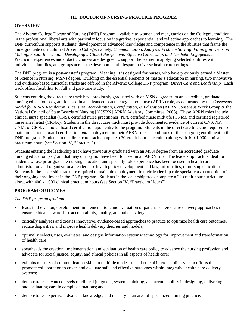## **III. DOCTOR OF NURSING PRACTICE PROGRAM**

#### **OVERVIEW**

The Alverno College Doctor of Nursing (DNP) Program, available to women and men, carries on the College's tradition in the professional liberal arts with particular focus on integrative, experiential, and reflective approaches to learning. The DNP curriculum supports students' development of advanced knowledge and competence in the abilities that frame the undergraduate curriculum at Alverno College: namely, *Communication, Analysis, Problem Solving, Valuing in Decision Making, Social Interaction, Developing a Global Perspective, Effective Citizenship, and Aesthetic Engagement.* Practicum experiences and didactic courses are designed to support the learner in applying selected abilities with individuals, families, and groups across the developmental lifespan in diverse health care settings.

The DNP program is a post-master's program. Meaning, it is designed for nurses, who have previously earned a Master of Science in Nursing (MSN) degree. Building on the essential elements of master's education in nursing, two innovative and evidence-based curricular tracks are offered in the Alverno College DNP program: *Direct Care* and *Leadership.* Each track offers flexibility for full and part-time study. `

Students entering the direct care track have previously graduated with an MSN degree from an accredited, graduate nursing education program focused in an advanced practice registered nurse (APRN) role, as delineated by the *Consensus Model for APRN Regulation: Licensure, Accreditation, Certification, & Education* (APRN Consensus Work Group & the National Council of State Boards of Nursing [NCSBN] APRN Advisory Committee, 2008). These APRN roles include clinical nurse specialist (CNS), certified nurse practitioner (NP), certified nurse midwife (CNM), and certified registered nurse anesthetist (CRNA). Students in the direct care track must provide documented evidence of current CNS, NP, CNM, or CRNA national board certification upon entry to the program. Students in the direct care track are required to maintain national board certification *and* employment in their APRN role as conditions of their ongoing enrollment in the DNP program. Students in the direct care track complete a 30-credit hour curriculum along with 400-1,000 clinical practicum hours (see Section IV, "Practica,").

Students entering the leadership track have previously graduated with an MSN degree from an accredited graduate nursing education program that may or may not have been focused in an APRN role. The leadership track is ideal for students whose prior graduate nursing education and specialty role experience has been focused in health care administration and organizational leadership, health policy development and law, informatics, or nursing education. Students in the leadership track are required to maintain employment in their leadership role specialty as a condition of their ongoing enrollment in the DNP program. Students in the leadership track complete a 32-credit hour curriculum along with 400 - 1,000 clinical practicum hours (see Section IV, "Practicum Hours").

## **PROGRAM OUTCOMES**

#### *The DNP program graduate:*

- leads in the vision, development, implementation, and evaluation of patient-centered care delivery approaches that ensure ethical stewardship, accountability, quality, and patient safety;
- critically analyzes and creates innovative, evidence-based approaches to practice to optimize health care outcomes, reduce disparities, and improve health delivery theories and models;
- optimally selects, uses, evaluates, and designs information systems/technology for improvement and transformation of health care
- spearheads the creation, implementation, and evaluation of health care policy to advance the nursing profession and advocate for social justice, equity, and ethical policies in all aspects of health care;
- exhibits mastery of communication skills in multiple modes to lead crucial interdisciplinary team efforts that promote collaboration to create and evaluate safe and effective outcomes within integrative health care delivery systems;
- demonstrates advanced levels of clinical judgment, systems thinking, and accountability in designing, delivering, and evaluating care in complex situations; and
- demonstrates expertise, advanced knowledge, and mastery in an area of specialized nursing practice.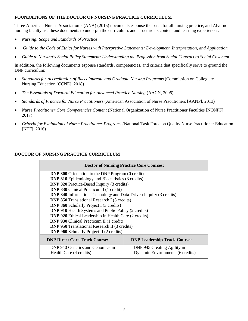#### **FOUNDATIONS OF THE DOCTOR OF NURSING PRACTICE CURRICULUM**

Three American Nurses Association's (ANA) (2015) documents espouse the basis for all nursing practice, and Alverno nursing faculty use these documents to underpin the curriculum, and structure its content and learning experiences:

- *Nursing: Scope and Standards of Practice*
- *Guide to the Code of Ethics for Nurses with Interpretive Statements: Development, Interpretation, and Application*
- *Guide to Nursing's Social Policy Statement: Understanding the Profession from Social Contract to Social Covenant*

In addition, the following documents espouse standards, competencies, and criteria that specifically serve to ground the DNP curriculum:

- *Standards for Accreditation of Baccalaureate and Graduate Nursing Programs* (Commission on Collegiate Nursing Education [CCNE], 2018)
- *The Essentials of Doctoral Education for Advanced Practice Nursing* (AACN, 2006)
- *Standards of Practice for Nurse Practitioners* (American Association of Nurse Practitioners [AANP], 2013)
- *Nurse Practitioner Core Competencies Content* (National Organization of Nurse Practitioner Faculties [NONPF], 2017)
- *Criteria for Evaluation of Nurse Practitioner Programs* (National Task Force on Quality Nurse Practitioner Education [NTF], 2016)

## **DOCTOR OF NURSING PRACTICE CURRICULUM**

| <b>Doctor of Nursing Practice Core Courses:</b>                           |                                     |  |  |  |  |
|---------------------------------------------------------------------------|-------------------------------------|--|--|--|--|
| <b>DNP 800</b> Orientation to the DNP Program (0 credit)                  |                                     |  |  |  |  |
| <b>DNP 810</b> Epidemiology and Biostatistics (3 credits)                 |                                     |  |  |  |  |
| <b>DNP 820</b> Practice-Based Inquiry (3 credits)                         |                                     |  |  |  |  |
| <b>DNP 830</b> Clinical Practicum I (1 credit)                            |                                     |  |  |  |  |
| <b>DNP 840</b> Information Technology and Data-Driven Inquiry (3 credits) |                                     |  |  |  |  |
| <b>DNP 850</b> Translational Research I (3 credits)                       |                                     |  |  |  |  |
| <b>DNP 860</b> Scholarly Project I (3 credits)                            |                                     |  |  |  |  |
| <b>DNP 910 Health Systems and Public Policy (2 credits)</b>               |                                     |  |  |  |  |
| <b>DNP 920</b> Ethical Leadership in Health Care (2 credits)              |                                     |  |  |  |  |
| <b>DNP 930</b> Clinical Practicum II (1 credit)                           |                                     |  |  |  |  |
| <b>DNP 950</b> Translational Research II (3 credits)                      |                                     |  |  |  |  |
| <b>DNP 960</b> Scholarly Project II (2 credits)                           |                                     |  |  |  |  |
| <b>DNP Direct Care Track Course:</b>                                      | <b>DNP Leadership Track Course:</b> |  |  |  |  |
| DNP 940 Genetics and Genomics in                                          | DNP 945 Creating Agility in         |  |  |  |  |
| Health Care (4 credits)                                                   | Dynamic Environments (6 credits)    |  |  |  |  |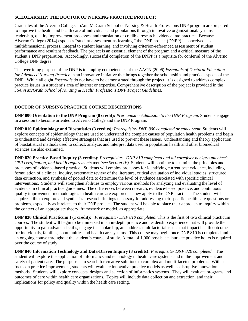## **SCHOLARSHIP: THE DOCTOR OF NURSING PRACTICE PROJECT:**

Graduates of the Alverno College, JoAnn McGrath School of Nursing & Health Professions DNP program are prepared to improve the health and health care of individuals and populations through innovative organizational/systems leadership, quality improvement processes, and translation of credible research evidence into practice. Because Alverno College (2014) espouses "student-assessment-as-learning," the DNP project (DNPP) is conceived as a multidimensional process, integral to student learning, and involving criterion-referenced assessment of student performance and resultant feedback. The project is an essential element of the program and a critical measure of the student's DNP preparation. Accordingly, successful completion of the DNPP is a requisite for conferral of the Alverno College DNP degree.

The overriding purpose of the DNP is to employ competencies of the AACN (2006) *Essentials of Doctoral Education for Advanced Nursing Practice* in an innovative initiative that brings together the scholarship and practice aspects of the DNP. While all eight *Essentials* do not have to be demonstrated through the project, it is designed to address complex practice issues in a student's area of interest or expertise. Comprehensive description of the project is provided in the *JoAnn McGrath School of Nursing & Health Professions DNP Project Guidelines.*

## **DOCTOR OF NURSING PRACTICE COURSE DESCRIPTIONS**

**DNP 800 Orientation to the DNP Program (0 credit):** *Prerequisite- Admission to the DNP Program.* Students engage in a session to become oriented to Alverno College and the DNP Program.

**DNP 810 Epidemiology and Biostatistics (3 credits):** *Prerequisite- DNP 800 completed or concurrent.* Students will explore concepts of epidemiology that are used to understand the complex causes of population health problems and begin to understand and develop effective strategies that are used to prevent these issues. Understanding and theory application of biostatistical methods used to collect, analyze, and interpret data used in population health and other biomedical sciences are also examined.

**DNP 820 Practice-Based Inquiry (3 credits):** *Prerequisites- DNP 810 completed and all caregiver background check, CPR certification, and health requirements* met *(see Section IV).* Students will continue to examine the principles and processes of evidence-based practice. Students will employ processes for identifying current best evidence, including formulation of a clinical inquiry, systematic review of the literature, critical evaluation of individual studies, structured data extraction, and synthesis of pooled data to determine the level of evidence associated with specific clinical interventions. Students will strengthen abilities to employ various methods for analyzing and evaluating the level of evidence in clinical practice guidelines. The differences between research, evidence-based practice, and continuous quality improvement methodologies in health care are explored as they apply to the DNP practice. The student will acquire skills to explore and synthesize research findings necessary for addressing their specific health care questions or problems, especially as it relates to their DNP project. The student will be able to place their approach to inquiry within the context of an appropriate theory, framework or model, as appropriate.

**DNP 830 Clinical Practicum I (1 credit):** *Prerequisite- DNP 810 completed.* This is the first of two clinical practicum courses. The student will begin to be immersed in an in-depth practice and leadership experience that will provide the opportunity to gain advanced skills, engage in scholarship, and address multifactorial issues that impact health outcomes for individuals, families, communities and health care systems. This course may begin once DNP 810 is completed and is an ongoing course throughout the student's course of study. A total of 1,000 post-baccalaureate practice hours is required over the course of study.

**DNP 840 Information Technology and Data-Driven Inquiry (3 credits):** *Prerequisite- DNP 820 completed.* The student will explore the application of informatics and technology in health care systems and in the improvement and safety of patient care. The purpose is to search for creative solutions to complex and multi-faceted problems. With a focus on practice improvement, students will evaluate innovative practice models as well as disruptive innovation methods. Students will explore concepts, designs and selection of informatics systems. They will evaluate programs and outcomes of care within health care organizations. Topics will include data collection and extraction, and their implications for policy and quality within the health care setting.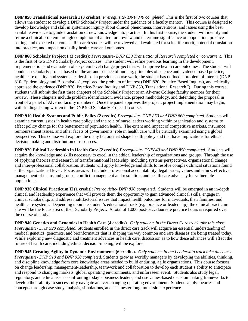**DNP 850 Translational Research I (3 credits):** *Prerequisite- DNP 840 completed.* This is the first of two courses that allows the student to develop a DNP Scholarly Project under the guidance of a faculty mentor. This course is designed to develop knowledge and skill in systematic inquiry about clinical phenomena, interventions, and issues using the best available evidence to guide translation of new knowledge into practice. In this first course, the student will identify and refine a clinical problem through completion of a literature review and determine significance on population, practice setting, and expected outcomes. Research studies will be reviewed and evaluated for scientific merit, potential translation into practice, and impact on quality health care and outcomes.

**DNP 860 Scholarly Project I (3 credits):** *Prerequisite- DNP 850 Translational Research completed or concurrent.* This is the first of two DNP Scholarly Project courses. The student will refine previous learning in the development, implementation and evaluation of a system level change project that will improve health care outcomes. The student will conduct a scholarly project based on the art and science of nursing, principles of science and evidence-based practice, health care quality, and systems leadership. In previous course work, the student has defined a problem of interest (DNP 810, Epidemiology and Biostatistics), explored the problem of interest (DNP 820, Practice-Based Inquiry), and critically appraised the evidence (DNP 820, Practice-Based Inquiry and DNP 850, Translational Research I). During this course, students will submit the first three chapters of the Scholarly Project to an Alverno College faculty member for their review. These chapters include problem identification, evidence, project methodology, and defending the proposal in front of a panel of Alverno faculty members. Once the panel approves the project, project implementation may begin, with findings being written in the DNP 950 Scholarly Project II course.

**DNP 910 Health Systems and Public Policy (2 credits)** *Prerequisite- DNP 850 and DNP 860 completed.* Students will examine current issues in health care policy and the role of nurse leaders working within organization and systems to affect policy change for the betterment of population health. The extent and impact of competitive markets, insurance, reimbursement issues, and other facets of governments' role in health care will be critically examined using a global perspective. This course will explore the many factors that shape health policy and that have implications for ethical decision making and distribution of resources.

**DNP 920 Ethical Leadership in Health Care (2 credits)** *Prerequisite- DNP840 and DNP 850 completed.* Students will acquire the knowledge and skills necessary to excel in the ethical leadership of organizations and groups. Through the use of applying theories and research of transformational leadership, including systems perspectives, organizational change and inter-professional collaboration, students will apply knowledge and skills to resolve complex clinical situations found at the organizational level. Focus areas will include professional accountability, legal issues, values and ethics, effective management of teams and groups, conflict management and resolution, and health care advocacy for vulnerable populations.

**DNP 930 Clinical Practicum II (1 credit):** *Prerequisite- DNP 830 completed.* Students will be emerged in an in-depth clinical and leadership experience that will provide them the opportunity to gain advanced clinical skills, engage in clinical scholarship, and address multifactorial issues that impact health outcomes for individuals, their families, and health care systems. Depending upon the student's educational track (e.g. practice or leadership), the clinical practicum site will be the focus area of their Scholarly Project. A total of 1,000 post-baccalaureate practice hours is required over the course of study.

**DNP 940 Genetics and Genomics in Health Care (4 credits).** *Only students in the Direct Care track take this class***.**  *Prerequisite- DNP 920 completed.* Students enrolled in the direct care track will acquire an essential understanding of medical genetics, genomics, and bioinformatics that is shaping the way common and rare diseases are being treated today. While exploring new diagnostic and treatment advances in health care, discussion as to how these advances will affect the future of health care, including ethical decision-making, will be explored.

**DNP 945 Creating Agility in Dynamic Environments (6 credits).** *Only students in the Leadership track take this class. Prerequisite- DNP 910 and DNP 920 completed.* Students grow as worldly managers by developing the abilities, thinking, and discipline knowledge from core knowledge areas needed to build enduring, agile organizations. This course focuses on change leadership, management-leadership, teamwork and collaboration to develop each student's ability to anticipate and respond to changing markets, global operating environments, and unforeseen event. Students also study legal, regulatory, and ethical issues confronting today's business leaders, and use values-based decision making frameworks to develop their ability to successfully navigate an ever-changing operating environment. Students apply theories and concepts through case study analysis, simulations, and a semester long immersion experience.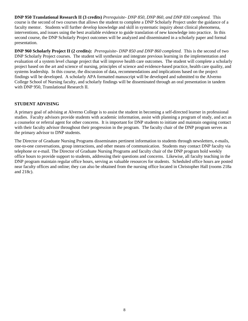**DNP 950 Translational Research II (3 credits)** *Prerequisite- DNP 850, DNP 860, and DNP 830 completed.* This course is the second of two courses that allows the student to complete a DNP Scholarly Project under the guidance of a faculty mentor. Students will further develop knowledge and skill in systematic inquiry about clinical phenomena, interventions, and issues using the best available evidence to guide translation of new knowledge into practice. In this second course, the DNP Scholarly Project outcomes will be analyzed and disseminated in a scholarly paper and formal presentation.

**DNP 960 Scholarly Project II (2 credits):** *Prerequisite- DNP 850 and DNP 860 completed.* This is the second of two DNP Scholarly Project courses. The student will synthesize and integrate previous learning in the implementation and evaluation of a system level change project that will improve health care outcomes. The student will complete a scholarly project based on the art and science of nursing, principles of science and evidence-based practice, health care quality, and systems leadership. In this course, the discussion of data, recommendations and implications based on the project findings will be developed. A scholarly APA formatted manuscript will be developed and submitted to the Alverno College School of Nursing faculty, and scholarly findings will be disseminated through an oral presentation in tandem with DNP 950, Translational Research II.

## **STUDENT ADVISING**

A primary goal of advising at Alverno College is to assist the student in becoming a self-directed learner in professional studies. Faculty advisors provide students with academic information, assist with planning a program of study, and act as a counselor or referral agent for other concerns. It is important for DNP students to initiate and maintain ongoing contact with their faculty advisor throughout their progression in the program. The faculty chair of the DNP program serves as the primary advisor to DNP students.

The Director of Graduate Nursing Programs disseminates pertinent information to students through newsletters, e-mails, one-to-one conversations, group interactions, and other means of communication. Students may contact DNP faculty via telephone or e-mail. The Director of Graduate Nursing Programs and faculty chair of the DNP program hold weekly office hours to provide support to students, addressing their questions and concerns. Likewise, all faculty teaching in the DNP program maintain regular office hours, serving as valuable resources for students. Scheduled office hours are posted near faculty offices and online; they can also be obtained from the nursing office located in Christopher Hall (rooms 218a and 218c).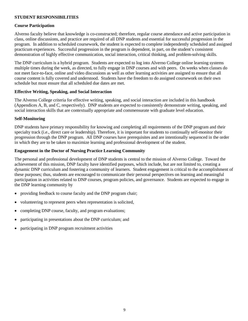## **STUDENT RESPONSIBILITIES**

#### **Course Participation**

Alverno faculty believe that knowledge is co-constructed; therefore, regular course attendance and active participation in class, online discussions, and practice are required of all DNP students and essential for successful progression in the program. In addition to scheduled coursework, the student is expected to complete independently scheduled and assigned practicum experiences. Successful progression in the program is dependent, in part, on the student's consistent demonstration of highly effective communication, social interaction, critical thinking, and problem-solving skills.

The DNP curriculum is a hybrid program. Students are expected to log into Alverno College online learning systems multiple times during the week, as directed, to fully engage in DNP courses and with peers. On weeks when classes do not meet face-to-face, online and video discussions as well as other learning activities are assigned to ensure that all course content is fully covered and understood. Students have the freedom to do assigned coursework on their own schedule but must ensure that all scheduled due dates are met.

#### **Effective Writing, Speaking, and Social Interaction**

The Alverno College criteria for effective writing, speaking, and social interaction are included in this handbook (Appendices A, B, and C, respectively). DNP students are expected to consistently demonstrate writing, speaking, and social interaction skills that are contextually appropriate and commensurate with graduate level education.

#### **Self-Monitoring**

DNP students have primary responsibility for knowing and completing all requirements of the DNP program and their specialty track (i.e., direct care or leadership). Therefore, it is important for students to continually self-monitor their progression through the DNP program. All DNP courses have prerequisites and are intentionally sequenced in the order in which they are to be taken to maximize learning and professional development of the student.

#### **Engagement in the Doctor of Nursing Practice Learning Community**

The personal and professional development of DNP students is central to the mission of Alverno College. Toward the achievement of this mission, DNP faculty have identified purposes, which include, but are not limited to, creating a dynamic DNP curriculum and fostering a community of learners. Student engagement is critical to the accomplishment of these purposes; thus, students are encouraged to communicate their personal perspectives on learning and meaningful participation in activities related to DNP courses, program policies, and governance. Students are expected to engage in the DNP learning community by

- providing feedback to course faculty and the DNP program chair;
- volunteering to represent peers when representation is solicited,
- completing DNP course, faculty, and program evaluations;
- participating in presentations about the DNP curriculum; and
- participating in DNP program recruitment activities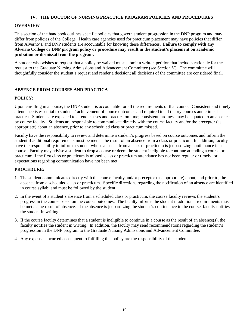#### **IV. THE DOCTOR OF NURSING PRACTICE PROGRAM POLICIES AND PROCEDURES**

#### **OVERVIEW**

This section of the handbook outlines specific policies that govern student progression in the DNP program and may differ from policies of the College. Health care agencies used for practicum placement may have policies that differ from Alverno's, and DNP students are accountable for knowing these differences. **Failure to comply with any Alverno College or DNP program policy or procedure may result in the student's placement on academic probation or dismissal from the program.**

A student who wishes to request that a policy be waived must submit a written petition that includes rationale for the request to the Graduate Nursing Admissions and Advancement Committee (see Section V). The committee will thoughtfully consider the student's request and render a decision; all decisions of the committee are considered final.

#### **ABSENCE FROM COURSES AND PRACTICA**

#### **POLICY:**

Upon enrolling in a course, the DNP student is accountable for all the requirements of that course. Consistent and timely attendance is essential to students' achievement of course outcomes and required in all theory courses and clinical practica. Students are expected to attend classes and practica on time; consistent tardiness may be equated to an absence by course faculty. Students are responsible to communicate directly with the course faculty and/or the preceptor (as appropriate) about an absence, prior to any scheduled class or practicum missed.

Faculty have the responsibility to review and determine a student's progress based on course outcomes and inform the student if additional requirements must be met as the result of an absence from a class or practicum. In addition, faculty have the responsibility to inform a student whose absence from a class or practicum is jeopardizing continuance in a course. Faculty may advise a student to drop a course or deem the student ineligible to continue attending a course or practicum if the first class or practicum is missed, class or practicum attendance has not been regular or timely, or expectations regarding communication have not been met.

- 1. The student communicates directly with the course faculty and/or preceptor (as appropriate) about, and prior to, the absence from a scheduled class or practicum. Specific directions regarding the notification of an absence are identified in course syllabi and must be followed by the student.
- 2. In the event of a student's absence from a scheduled class or practicum, the course faculty reviews the student's progress in the course based on the course outcomes. The faculty informs the student if additional requirements must be met as the result of absence. If the absence is jeopardizing the student's continuance in the course, faculty notifies the student in writing.
- 3. If the course faculty determines that a student is ineligible to continue in a course as the result of an absence(s), the faculty notifies the student in writing. In addition, the faculty may send recommendations regarding the student's progression in the DNP program to the Graduate Nursing Admissions and Advancement Committee.
- 4. Any expenses incurred consequent to fulfilling this policy are the responsibility of the student.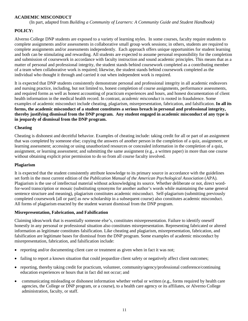#### **ACADEMIC MISCONDUCT**

(In part, adapted from *Building a Community of Learners: A Community Guide and Student Handbook)*

## **POLICY:**

Alverno College DNP students are exposed to a variety of learning styles. In some courses, faculty require students to complete assignments and/or assessments in collaborative small group work sessions; in others, students are required to complete assignments and/or assessments independently. Each approach offers unique opportunities for student learning and both can be stimulating and rewarding. All students are expected to assume personal responsibility for the completion and submission of coursework in accordance with faculty instruction and sound academic principles. This means that as a matter of personal and professional integrity, the student stands behind coursework completed as a contributing member of a team when collaborative work is required; likewise, the student stands behind coursework completed as the individual who thought it through and carried it out when independent work is required.

It is expected that DNP students consistently demonstrate personal and professional integrity in all academic endeavors and nursing practice, including, but not limited to, honest completion of course assignments, performance assessments, and required forms as well as honest accounting of practicum experiences and hours, and honest documentation of client health information in the medical health record. In contrast, *academic misconduct* is rooted in fraudulence. Some examples of academic misconduct include cheating, plagiarism, misrepresentation, fabrication, and falsification. **In all its forms, the academic misconduct of a student constitutes a serious breach in personal and professional integrity, thereby justifying dismissal from the DNP program. Any student engaged in academic misconduct of any type is in jeopardy of dismissal from the DNP program.**

#### **Cheating**

Cheating is dishonest and deceitful behavior. Examples of cheating include: taking credit for all or part of an assignment that was completed by someone else; copying the answers of another person in the completion of a quiz, assignment, or learning assessment; accessing or using unauthorized resources or concealed information in the completion of a quiz, assignment, or learning assessment; and submitting the same assignment (e.g., a written paper) in more than one course without obtaining explicit prior permission to do so from all course faculty involved.

#### **Plagiarism**

It is expected that the student consistently attribute knowledge to its primary source in accordance with the guidelines set forth in the most current edition of the *Publication Manual of the American Psychological Association* (APA)*.*  Plagiarism is the use of intellectual material without acknowledging its source. Whether deliberate or not, direct wordfor-word transcription or mosaic (substituting synonyms for another author's words while maintaining the same general sentence structure and meaning), plagiarism constitutes academic misconduct. Self-plagiarism (submitting previously completed coursework [all or part] as *new* scholarship in a subsequent course) also constitutes academic misconduct. All forms of plagiarism enacted by the student warrant dismissal from the DNP program.

#### **Misrepresentation, Fabrication, and Falsification**

Claiming ideas/work that is essentially someone else's, constitutes misrepresentation. Failure to identify oneself honestly in any personal or professional situation also constitutes misrepresentation. Representing fabricated or altered information as legitimate constitutes falsification. Like cheating and plagiarism, misrepresentation, fabrication, and falsification are legitimate bases for dismissal from the DNP program. Some examples of academic misconduct by misrepresentation, fabrication, and falsification include:

- reporting and/or documenting client care or treatment as given when in fact it was not;
- failing to report a known situation that could jeopardize client safety or negatively affect client outcomes;
- reporting, thereby taking credit for practicum, volunteer, community/agency/professional conference/continuing education experiences or hours that in fact did not occur; and
- communicating misleading or dishonest information whether verbal or written (e.g., forms required by health care agencies, the College or DNP program, or a course), to a health care agency or its affiliates, or Alverno College administration, faculty, or staff.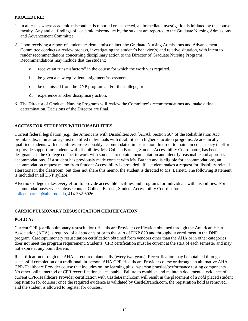#### **PROCEDURE:**

- 1. In all cases where academic misconduct is reported or suspected, an immediate investigation is initiated by the course faculty. Any and all findings of academic misconduct by the student are reported to the Graduate Nursing Admissions and Advancement Committee.
- 2. Upon receiving a report of student academic misconduct, the Graduate Nursing Admissions and Advancement Committee conducts a review process, investigating the student's behavior(s) and relative situation, with intent to render recommendations concerning disciplinary action to the Director of Graduate Nursing Programs. Recommendations may include that the student:
	- a. receive an "unsatisfactory" in the course for which the work was required,
	- b. be given a new equivalent assignment/assessment,
	- c. be dismissed from the DNP program and/or the College, or
	- d. experience another disciplinary action.
- 3. The Director of Graduate Nursing Programs will review the Committee's recommendations and make a final determination. Decisions of the Director are final.

## **ACCESS FOR STUDENTS WITH DISABILITIES**

Current federal legislation (e.g., the Americans with Disabilities Act [ADA], Section 504 of the Rehabilitation Act) prohibits discrimination against qualified individuals with disabilities in higher education programs. Academically qualified students with disabilities are reasonably accommodated in instruction. In order to maintain consistency in efforts to provide support for students with disabilities, Ms. Colleen Barnett, Student Accessibility Coordinator, has been designated as the College contact to work with students to obtain documentation and identify reasonable and appropriate accommodations. If a student has previously made contact with Ms. Barnett and is eligible for accommodations, an accommodation request memo from Student Accessibility is provided. If a student makes a request for disability-related alterations in the classroom, but does not share this memo, the student is directed to Ms. Barnett. The following statement is included in all DNP syllabi:

Alverno College makes every effort to provide accessible facilities and programs for individuals with disabilities. For accommodations/services please contact Colleen Barnett, Student Accessibility Coordinator, [colleen.barnett@alverno.edu,](mailto:colleen.barnett@alverno.edu) 414-382-6026.

## **CARDIOPULMONARY RESUSCITATION CERITIFCATION**

## **POLICY:**

Current CPR (cardiopulmonary resuscitation)-Healthcare Provider certification obtained through the American Heart Association (AHA) is required of all students prior to the start of DNP 820 and throughout enrollment in the DNP program. Cardiopulmonary resuscitation certification obtained from vendors other than the AHA or in other categories does not meet the program requirement. Students' CPR certification must be current at the start of each semester and may not expire at any point therein.

Recertification through the AHA is required biannually (every two years). Recertification may be obtained through successful completion of a traditional, in-person, AHA CPR-Healthcare Provider course or through an alternative AHA CPR-Healthcare Provider course that includes online learning plus in-person practice/performance testing components. No other online method of CPR recertification is acceptable. Failure to establish and maintain documented evidence of current CPR-Healthcare Provider certification with CastleBranch.com will result in the placement of a *hold* placed student registration for courses; once the required evidence is validated by CastleBranch.com, the registration hold is removed, and the student is allowed to register for courses.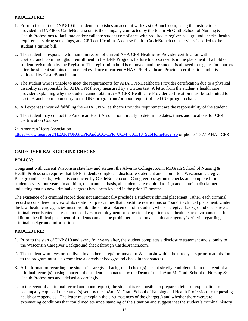## **PROCEDURE:**

- 1. Prior to the start of DNP 810 the student establishes an account with CastleBranch.com, using the instructions provided in DNP 800. CastleBranch.com is the company contracted by the Joann McGrath School of Nursing & Health Professions to facilitate and/or validate student compliance with required caregiver background checks, health requirements, drug screenings, and CPR certification. A course fee for CastleBranch.com services is added to the student's tuition bill.
- 2. The student is responsible to maintain record of current AHA CPR-Healthcare Provider certification with CastleBranch.com throughout enrollment in the DNP Program. Failure to do so results in the placement of a hold on student registration by the Registrar. The registration hold is removed, and the student is allowed to register for courses after the student submits documented evidence of current AHA CPR-Healthcare Provider certification and it is validated by CastleBranch.com.
- 3. The student who is unable to meet the requirements for AHA CPR-Healthcare Provider certification due to a physical disability is responsible for AHA CPR theory measured by a written test. A letter from the student's health care provider explaining why the student cannot obtain AHA CPR-Healthcare Provider certification must be submitted to CastleBranch.com upon entry to the DNP program and/or upon request of the DNP program chair.
- 4. All expenses incurred fulfilling the AHA CPR-Healthcare Provider requirement are the responsibility of the student.
- 5. The student may contact the American Heart Association directly to determine dates, times and locations for CPR Certification Courses.
- American Heart Association [https://www.heart.org/HEARTORG/CPRAndECC/CPR\\_UCM\\_001118\\_SubHomePage.jsp](https://www.heart.org/HEARTORG/CPRAndECC/CPR_UCM_001118_SubHomePage.jsp) or phone 1-877-AHA-4CPR

## **CAREGIVER BACKGROUND CHECKS**

#### **POLICY:**

Congruent with current Wisconsin state law and statues, the Alverno College JoAnn McGrath School of Nursing & Health Professions requires that DNP students complete a disclosure statement and submit to a Wisconsin Caregiver Background check(s), which is conducted by CastleBranch.com. Caregiver background checks are completed for all students every four years. In addition, on an annual basis, all students are required to sign and submit a disclaimer indicating that no new criminal charge(s) have been leveled in the prior 12 months.

The existence of a criminal record does not automatically preclude a student's clinical placement; rather, each criminal record is considered in view of its relationship to crimes that constitute restrictions or "bars" to clinical placement. Under the law, health care agencies must prohibit the clinical placement of a student, whose caregiver background check reveals criminal records cited as restrictions or bars to employment or educational experiences in health care environments. In addition, the clinical placement of students can also be prohibited based on a health care agency's criteria regarding criminal background information.

- 1. Prior to the start of DNP 810 and every four years after, the student completes a disclosure statement and submits to the Wisconsin Caregiver Background check through CastleBranch.com.
- 2. The student who lives or has lived in another state(s) or moved to Wisconsin within the three years prior to admission to the program must also complete a caregiver background check in that state(s).
- 3. All information regarding the student's caregiver background check(s) is kept strictly confidential. In the event of a criminal record(s) posing concern, the student is contacted by the Dean of the JoAnn McGrath School of Nursing & Health Professions and advised accordingly.
- 4. In the event of a criminal record and upon request, the student is responsible to prepare a letter of explanation to accompany copies of the charge(s) sent by the JoAnn McGrath School of Nursing and Health Professions to requesting health care agencies. The letter must explain the circumstances of the charge(s) and whether there were/are extenuating conditions that could mediate understanding of the situation and suggest that the student's criminal history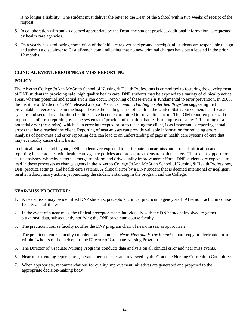is no longer a liability. The student must deliver the letter to the Dean of the School within two weeks of receipt of the request.

- 5. In collaboration with and as deemed appropriate by the Dean, the student provides additional information as requested by health care agencies.
- 6. On a yearly basis following completion of the initial caregiver background check(s), all students are responsible to sign and submit a disclaimer to CastleBranch.com, indicating that no new criminal charges have been leveled in the prior 12 months.

## **CLINICAL EVENT/ERROR/NEAR MISS REPORTING**

## **POLICY**

The Alverno College JoAnn McGrath School of Nursing & Health Professions is committed to fostering the development of DNP students in providing safe, high quality health care. DNP students may be exposed to a variety of clinical practice areas, wherein potential and actual errors can occur. Reporting of these errors is fundamental to error prevention. In 2000, the Institute of Medicine (IOM) released a report *To err is human: Building a safer health system* suggesting that preventable adverse events in the hospital were the leading cause of death in the United States. Since then, health care systems and secondary education facilities have become committed to preventing errors. The IOM report emphasized the importance of error reporting by using systems to "provide information that leads to improved safety." Reporting of a potential error (near-miss), which is an error intercepted prior to reaching the client, is as important as reporting actual errors that have reached the client. Reporting of near-misses can provide valuable information for reducing errors. Analysis of near-miss and error reporting data can lead to an understanding of gaps in health care systems of care that may eventually cause client harm.

In clinical practica and beyond, DNP students are expected to participate in near miss and error identification and reporting in accordance with health care agency policies and procedures to ensure patient safety. These data support root cause analyses, whereby patterns emerge to inform and drive quality improvement efforts. DNP students are expected to lead in these processes as change agents in the Alverno College JoAnn McGrath School of Nursing & Health Professions, DNP practica settings, and health care systems. A clinical error by a DNP student that is deemed intentional or negligent results in disciplinary action, jeopardizing the student's standing in the program and the College.

## **NEAR-MISS PROCEDURE:**

- 1. A near-miss a may be identified DNP students, preceptors, clinical practicum agency staff, Alverno practicum course faculty and affiliates.
- 2. In the event of a near-miss, the clinical preceptor meets individually with the DNP student involved to gather situational data, subsequently notifying the DNP practicum course faculty.
- 3. The practicum course faculty notifies the DNP program chair of near-misses, as appropriate.
- 4. The practicum course faculty completes and submits a *Near-Miss and Error Report* in hard-copy or electronic form within 24 hours of the incident to the Director of Graduate Nursing Programs.
- 5. The Director of Graduate Nursing Programs conducts data analysis on all clinical error and near miss events.
- 6. Near-miss trending reports are generated per semester and reviewed by the Graduate Nursing Curriculum Committee.
- 7. When appropriate, recommendations for quality improvement initiatives are generated and proposed to the appropriate decision-making body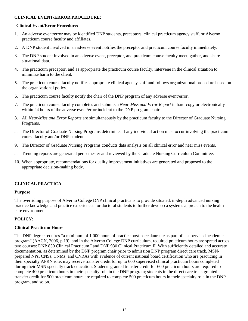## **CLINICAL EVENT/ERROR PROCEDURE:**

#### **Clinical Event/Error Procedure:**

- 1. An adverse event/error may be identified DNP students, preceptors, clinical practicum agency staff, or Alverno practicum course faculty and affiliates.
- 2. A DNP student involved in an adverse event notifies the preceptor and practicum course faculty immediately.
- 3. The DNP student involved in an adverse event, preceptor, and practicum course faculty meet, gather, and share situational data.
- 4. The practicum preceptor, and as appropriate the practicum course faculty, intervene in the clinical situation to minimize harm to the client.
- 5. The practicum course faculty notifies appropriate clinical agency staff and follows organizational procedure based on the organizational policy.
- 6. The practicum course faculty notify the chair of the DNP program of any adverse event/error.
- 7. The practicum course faculty completes and submits a *Near-Miss and Error Report* in hard-copy or electronically within 24 hours of the adverse event/error incident to the DNP program chair.
- 8. All *Near-Miss and Error Reports* are simultaneously by the practicum faculty to the Director of Graduate Nursing Programs.
- a. The Director of Graduate Nursing Programs determines if any individual action must occur involving the practicum course faculty and/or DNP student.
- 9. The Director of Graduate Nursing Programs conducts data analysis on all clinical error and near miss events.
- a. Trending reports are generated per semester and reviewed by the Graduate Nursing Curriculum Committee.
- 10. When appropriate, recommendations for quality improvement initiatives are generated and proposed to the appropriate decision-making body.

#### **CLINICAL PRACTICA**

#### **Purpose**

The overriding purpose of Alverno College DNP clinical practica is to provide situated, in-depth advanced nursing practice knowledge and practice experiences for doctoral students to further develop a systems approach to the health care environment.

#### **POLICY:**

#### **Clinical Practicum Hours**

The DNP degree requires "a minimum of 1,000 hours of practice post-baccalaureate as part of a supervised academic program" (AACN, 2006, p.19), and in the Alverno College DNP curriculum, required practicum hours are spread across two courses: DNP 830 Clinical Practicum I and DNP 930 Clinical Practicum II. With sufficiently detailed and accurate documentation, as determined by the DNP program chair prior to admission DNP program direct care track, MSNprepared NPs, CNSs, CNMs, and CNRAs with evidence of current national board certification who are practicing in their specialty APRN role, may receive transfer credit for up to 600 supervised clinical practicum hours completed during their MSN specialty track education. Students granted transfer credit for 600 practicum hours are required to complete 400 practicum hours in their specialty role in the DNP program; students in the direct care track granted transfer credit for 500 practicum hours are required to complete 500 practicum hours in their specialty role in the DNP program, and so on.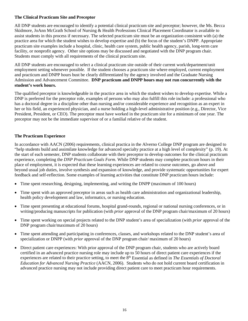#### **The Clinical Practicum Site and Preceptor**

All DNP students are encouraged to identify a potential clinical practicum site and preceptor; however, the Ms. Becca Skidmore, JoAnn McGrath School of Nursing & Health Professions Clinical Placement Coordinator is available to assist students in this process if necessary. The selected practicum site must be an organization consistent with (a) the practice area for which the student wishes to develop expertise and (b) the focus of the student's DNPP. Appropriate practicum site examples include a hospital, clinic, health care system, public health agency, parish, long-term care facility, or nonprofit agency. Other site options may be discussed and negotiated with the DNP program chair. Students must comply with all requirements of the clinical practicum site.

All DNP students are encouraged to select a clinical practicum site outside of their current work/department/unit employment setting whenever possible. If the student chooses a practicum site where employed, current employment and practicum and DNPP hours bust be clearly differentiated by the agency involved and the Graduate Nursing Admission and Advancement Committee. **DNP practicum and DNPP hours may not run concurrently with the student's work hours.** 

The qualified preceptor is knowledgeable in the practice area in which the student wishes to develop expertise. While a DNP is preferred for the preceptor role, examples of persons who may also fulfill this role include: a professional who has a doctoral degree in a discipline other than nursing and/or considerable experience and recognition as an expert in her or his field, an experienced physician, and a nurse holding a high-level administrative position (e.g., Director, Vice President, President, or CEO). The preceptor must have worked in the practicum site for a minimum of one year. The preceptor may not be the immediate supervisor of or a familial relative of the student.

## **The Practicum Experience**

In accordance with AACN (2006) requirements, clinical practica in the Alverno College DNP program are designed to "help students build and assimilate knowledge for advanced specialty practice at a high level of complexity" (p. 19). At the start of each semester, DNP students collaborate with their preceptor to develop outcomes for the clinical practicum experience, completing the *DNP Practicum Goals Form*. While DNP students may complete practicum hours in their place of employment, it is expected that these learning experiences are related to course outcomes, go above and beyond usual job duties, involve synthesis and expansion of knowledge, and provide systematic opportunities for expert feedback and self-reflection. Some examples of learning activities that constitute DNP practicum hours include:

- Time spent researching, designing, implementing, and writing the DNPP (maximum of 100 hours)
- Time spent with an approved preceptor in areas such as health care administration and organizational leadership, health policy development and law, informatics, or nursing education.
- Time spent presenting at educational forums, hospital grand-rounds, regional or national nursing conferences, or in writing/producing manuscripts for publication (with *prior* approval of the DNP program chair/maximum of 20 hours)
- Time spent working on special projects related to the DNP student's area of specialization (with *prior* approval of the DNP program chair/maximum of 20 hours)
- Time spent attending and participating in conferences, classes, and workshops related to the DNP student's area of specialization or DNPP (with *prior* approval of the DNP program chair/ maximum of 20 hours)
- Direct patient care experiences: With prior approval of the DNP program chair, students who are actively board certified in an advanced practice nursing role may include up to 50 hours of direct patient care experiences if the experiences are related to their practice setting, to meet the 8<sup>th</sup> Essential as defined in *The Essentials of Doctoral Education for Advanced Nursing Practice* (AACN, 2006). Students who do not hold current board certification in advanced practice nursing may not include providing direct patient care to meet practicum hour requirements.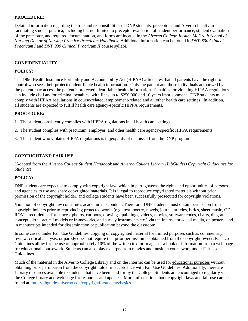## **PROCEDURE:**

Detailed information regarding the role and responsibilities of DNP students, preceptors, and Alverno faculty in facilitating student practica, including but not limited to preceptor evaluation of student performance, student evaluation of the preceptor, and required documentation, and forms are located in the *Alverno College JoAnne McGrath School of Nursing Doctor of Nursing Practice Practicum Handbook.* Additional information can be found in *DNP 830 Clinical Practicum I* and *DNP 930 Clinical Practicum II* course syllabi.

## **CONFIDENTIALITY**

#### **POLICY:**

The 1996 Health Insurance Portability and Accountability Act (HIPAA) articulates that all patients have the right to control who sees their protected identifiable health information. Only the patient and those individuals authorized by the patient may access the patient's protected identifiable health information. Penalties for violating HIPAA regulations can include civil and/or criminal penalties, with fines up to \$250,000 and 10 years imprisonment. DNP students must comply with HIPAA regulations in course-related, employment-related and all other health care settings. In addition, all students are expected to fulfill health care agency-specific HIPPA requirements.

#### **PROCEDURE:**

- 1. The student consistently complies with HIPPA regulations in all health care settings.
- 2. The student complies with practicum, employer, and other health care agency-specific HIPPA requirements
- 3. The student who violates HIPPA regulations is in jeopardy of dismissal from the DNP program

## **COPYRIGHTAND FAIR USE**

(Adapted from the *Alverno College Student Handbook* and *Alverno College Library (LibGuides) Copyright Guidelines for Students*)

#### **POLICY:**

DNP students are expected to comply with copyright law, which in part, governs the rights and opportunities of persons and agencies to use and share copyrighted materials. It is illegal to reproduce copyrighted materials without prior permission of the copyright holder, and college students have been successfully prosecuted for copyright violations.

Violation of copyright law constitutes academic misconduct. Therefore, DNP students must obtain permission from copyright holders prior to reproducing protected works (e.g., text, poetry, novels, journal articles, lyrics, sheet music, CD-ROMs, recorded performances, photos, cartoons, drawings, paintings, videos, movies, software codes, charts, diagrams, conceptual/theoretical models or frameworks, and survey instruments etc.) via the Internet or social media, on posters, and in manuscripts intended for dissemination or publication beyond the classroom.

In some cases, under Fair Use Guidelines, copying of copyrighted material for limited purposes such as commentary, review, critical analysis, or parody does not require that prior permission be obtained from the copyright owner. Fair Use Guidelines allow for the use of approximately 10% of the written text or images of a book or information from a web page for educational coursework. Students can also play excerpts from movies and music in coursework under Fair Use Guidelines.

Much of the material in the Alverno College Library and on the Internet can be used for educational purposes without obtaining prior permission from the copyright holder in accordance with Fair Use Guidelines. Additionally, there are Library resources available to students that have been paid for by the College. Students are encouraged to regularly visit the College library and web-page for resources and updates. More information about copyright laws and fair use can be found at: <http://libguides.alverno.edu/copyrightforstudents/basics>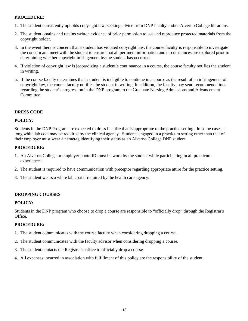#### **PROCEDURE:**

- 1. The student consistently upholds copyright law, seeking advice from DNP faculty and/or Alverno College librarians.
- 2. The student obtains and retains written evidence of prior permission to use and reproduce protected materials from the copyright holder.
- 3. In the event there is concern that a student has violated copyright law, the course faculty is responsible to investigate the concern and meet with the student to ensure that all pertinent information and circumstances are explored prior to determining whether copyright infringement by the student has occurred.
- 4. If violation of copyright law is jeopardizing a student's continuance in a course, the course faculty notifies the student in writing.
- 5. If the course faculty determines that a student is ineligible to continue in a course as the result of an infringement of copyright law, the course faculty notifies the student in writing. In addition, the faculty may send recommendations regarding the student's progression in the DNP program to the Graduate Nursing Admissions and Advancement Committee.

## **DRESS CODE**

## **POLICY**:

Students in the DNP Program are expected to dress in attire that is appropriate to the practice setting. In some cases, a long white lab coat may be required by the clinical agency. Students engaged in a practicum setting other than that of their employer must wear a nametag identifying their status as an Alverno College DNP student.

## **PROCEDURE:**

- 1. An Alverno College or employer photo ID must be worn by the student while participating in all practicum experiences.
- 2. The student is required to have communication with preceptor regarding appropriate attire for the practice setting.
- 3. The student wears a white lab coat if required by the health care agency.

## **DROPPING COURSES**

## **POLICY:**

Students in the DNP program who choose to drop a course are responsible to "officially drop" through the Registrar's Office.

- 1. The student communicates with the course faculty when considering dropping a course.
- 2. The student communicates with the faculty advisor when considering dropping a course.
- 3. The student contacts the Registrar's office to officially drop a course.
- 4. All expenses incurred in association with fulfillment of this policy are the responsibility of the student.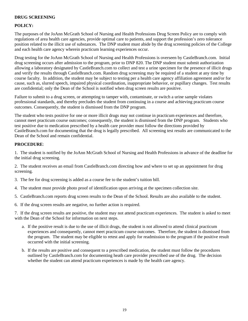## **DRUG SCREENING**

## **POLICY:**

The purposes of the JoAnn McGrath School of Nursing and Health Professions Drug Screen Policy are to comply with regulations of area health care agencies, provide optimal care to patients, and support the profession's zero tolerance position related to the illicit use of substances. The DNP student must abide by the drug screening policies of the College and each health care agency wherein practicum learning experiences occur.

Drug testing for the JoAnn McGrath School of Nursing and Health Professions is overseen by CastleBranch.com. Initial drug screening occurs after admission to the program, prior to DNP 820. The DNP student must submit authorization allowing a laboratory designated by CastleBranch.com to collect and test a urine specimen for the presence of illicit drugs and verify the results through CastleBranch.com. Random drug screening may be required of a student at any time by course faculty. In addition, the student may be subject to testing per a health care agency affiliation agreement and/or for cause, such as, slurred speech, impaired physical coordination, inappropriate behavior, or pupillary changes. Test results are confidential; only the Dean of the School is notified when drug screen results are positive.

Failure to submit to a drug screen, or attempting to tamper with, contaminate, or switch a urine sample violates professional standards, and thereby precludes the student from continuing in a course and achieving practicum course outcomes. Consequently, the student is dismissed from the DNP program.

The student who tests positive for one or more illicit drugs may not continue in practicum experiences and therefore, cannot meet practicum course outcomes; consequently, the student is dismissed from the DNP program. Students who test positive due to medication prescribed by a health care provider must follow the directions provided by CastleBranch.com for documenting that the drug is legally prescribed. All screening test results are communicated to the Dean of the School and remain confidential.

## **PROCEDURE**:

1. The student is notified by the JoAnn McGrath School of Nursing and Health Professions in advance of the deadline for the initial drug screening.

2. The student receives an email from CastleBranch.com directing how and where to set up an appointment for drug screening.

3. The fee for drug screening is added as a course fee to the student's tuition bill.

- 4. The student must provide photo proof of identification upon arriving at the specimen collection site.
- 5. CastleBranch.com reports drug screen results to the Dean of the School. Results are also available to the student.
- 6. If the drug screen results are negative, no further action is required.

7. If the drug screen results are positive, the student may not attend practicum experiences. The student is asked to meet with the Dean of the School for information on next steps.

- a. If the positive result is due to the use of illicit drugs, the student is not allowed to attend clinical practicum experiences and consequently, cannot meet practicum course outcomes. Therefore, the student is dismissed from the program. The student may be eligible to retest and apply for readmission to the program if the positive result occurred with the initial screening.
- b. If the results are positive and consequent to a prescribed medication, the student must follow the procedures outlined by CastleBranch.com for documenting heath care provider prescribed use of the drug. The decision whether the student can attend practicum experiences is made by the health care agency.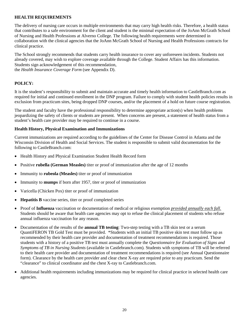#### **HEALTH REQUIREMENTS**

The delivery of nursing care occurs in multiple environments that may carry high health risks. Therefore, a health status that contributes to a safe environment for the client and student is the minimal expectation of the JoAnn McGrath School of Nursing and Health Professions at Alverno College. The following health requirements were determined in collaboration with the clinical agencies that the JoAnn McGrath School of Nursing and Health Professions contracts for clinical practice.

The School strongly recommends that students carry health insurance to cover any unforeseen incidents. Students not already covered, may wish to explore coverage available through the College. Student Affairs has this information. Students sign acknowledgement of this recommendation, the *Health Insurance Coverage Form* (see Appendix D).

## **POLICY:**

It is the student's responsibility to submit and maintain accurate and timely health information to CastleBranch.com as required for initial and continued enrollment in the DNP program. Failure to comply with student health policies results in exclusion from practicum sites, being dropped DNP courses, and/or the placement of a hold on future course registration.

The student and faculty have the professional responsibility to determine appropriate action(s) when health problems jeopardizing the safety of clients or students are present. When concerns are present, a statement of health status from a student's health care provider may be required to continue in a course.

#### **Health History, Physical Examination and Immunizations**

Current immunizations are required according to the guidelines of the Center for Disease Control in Atlanta and the Wisconsin Division of Health and Social Services. The student is responsible to submit valid documentation for the following to CastleBranch.com:

- Health History and Physical Examination Student Health Record form
- Positive **rubella (German Measles)** titer or proof of immunization after the age of 12 months
- Immunity to **rubeola (Measles)** titer or proof of immunization
- Immunity to **mumps** if born after 1957, titer or proof of immunization
- Varicella (Chicken Pox) titer or proof of immunization
- **Hepatitis B** vaccine series, titer or proof completed series
- Proof of **Influenza** vaccination or documentation of medical or religious exemption *provided annually each fall.* Students should be aware that health care agencies may opt to refuse the clinical placement of students who refuse annual influenza vaccination for any reason.
- Documentation of the results of the **annual TB testing**: Two-step testing with a TB skin test or a serum QuantiFERON TB Gold Test must be provided. \*Students with an initial TB positive skin test must follow up as recommended by their health care provider and documentation of treatment recommendations is required. Those students with a history of a positive TB test must annually complete the *Questionnaire for Evaluation of Signs and Symptoms of TB in Nursing Students* (available in Castlebranch.com)*.* Students with symptoms of TB will be referred to their health care provider and documentation of treatment recommendations is required (see Annual Questionnaire form). Clearance by the health care provider and clear chest X-ray are required prior to any practicum. Send the "clearance" to clinical coordinator and the chest X-ray to Castlebranch.com.
- Additional health requirements including immunizations may be required for clinical practice in selected health care agencies.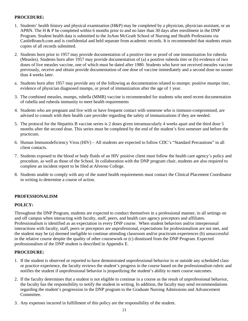## **PROCEDURE:**

- 1. Students' health history and physical examination (H&P) may be completed by a physician, physician assistant, or an APRN. The H & P be completed within 6 months prior to and no later than 30 days after enrollment in the DNP Program. Student health data is submitted to the JoAnn McGrath School of Nursing and Health Professions via CastleBranch.com and is confidential and held separate from academic records. It is recommended that students retain copies of all records submitted.
- 2. Students born prior to 1957 may provide documentation of a positive titer or proof of one immunization for rubeola (Measles). Students born after 1957 may provide documentation of (a) a positive rubeola titer or (b) evidence of two doses of live measles vaccine, one of which must be dated after 1980. Students who have not received measles vaccine previously, receive and obtain provide documentation of one dose of vaccine immediately and a second dose no sooner than 4 weeks later.
- a. Students born after 1957 may provide any of the following as documentation related to mumps: positive mumps titer, evidence of physician diagnosed mumps, or proof of immunization after the age of 1 year.
- 3. The combined measles, mumps, rubella (MMR) vaccine is recommended for students who need recent documentation of rubella and rubeola immunity to meet health requirements
- 4. Students who are pregnant and live with or have frequent contact with someone who is immuno-compromised, are advised to consult with their health care provider regarding the safety of immunizations if they are needed.
- 5. The protocol for the Hepatitis B vaccine series is 2 doses given intramuscularly 4 weeks apart and the third dose 5 months after the second dose. This series must be completed by the end of the student's first semester and before the practicum.
- 6. Human Immunodeficiency Virus (HIV) All students are expected to follow CDC's "Standard Precautions" in all client contacts.
- 7. Students exposed to the blood or body fluids of an HIV positive client must follow the health care agency's policy and procedure, as well as those of the School. In collaboration with the DNP program chair, students are also required to complete an incident report to be filed at Alverno College.
- 8. Students unable to comply with any of the stated health requirements must contact the Clinical Placement Coordinator in writing to determine a course of action.

## **PROFESSIONALISM**

#### **POLICY:**

Throughout the DNP Program, students are expected to conduct themselves in a professional manner, in all settings on and off campus when interacting with faculty, staff, peers, and health care agency preceptors and affiliates. Professionalism is identified as an expectation in every DNP course. When student behaviors and/or interpersonal interactions with faculty, staff, peers or preceptors are unprofessional, expectations for professionalism are not met, and the student may be (a) deemed ineligible to continue attending classroom and/or practicum experiences (b) unsuccessful in the relative course despite the quality of other coursework or (c) dismissed from the DNP Program. Expected professionalism of the DNP student is described in Appendix E.

- 1. If the student is observed or reported to have demonstrated unprofessional behavior in or outside any scheduled class or practice experience, the faculty reviews the student's progress in the course based on the professionalism rubric and notifies the student if unprofessional behavior is jeopardizing the student's ability to meet course outcomes.
- 2. If the faculty determines that a student is not eligible to continue in a course as the result of unprofessional behavior, the faculty has the responsibility to notify the student in writing. In addition, the faculty may send recommendations regarding the student's progression in the DNP program to the Graduate Nursing Admissions and Advancement Committee.
- 3. Any expenses incurred in fulfillment of this policy are the responsibility of the student.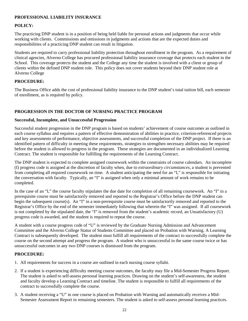## **PROFESSIONAL LIABILITY INSURANCE**

## **POLICY:**

The practicing DNP student is in a position of being held liable for personal actions and judgments that occur while working with clients. Commissions and omissions in judgments and actions that are the expected duties and responsibilities of a practicing DNP student can result in litigation.

Students are required to carry professional liability protection throughout enrollment in the program. As a requirement of clinical agencies, Alverno College has procured professional liability insurance coverage that protects each student in the School. This coverage protects the student and the College any time the student is involved with a client or group of clients within the defined DNP student role. This policy does not cover students beyond their DNP student role at Alverno College

## **PROCEDURE:**

The Business Office adds the cost of professional liability insurance to the DNP student's total tuition bill, each semester of enrollment, as is required by policy.

## **PROGRESSION IN THE DOCTOR OF NURSING PRACTICE PROGRAM**

## **Successful, Incomplete, and Unsuccessful Progression**

Successful student progression in the DNP program is based on students' achievement of course outcomes as outlined in each course syllabus and requires a pattern of effective demonstration of abilities in practice, criterion-referenced projects and key assessments of performance, objective assessments, and successful completion of the DNP project. If there is an identified pattern of difficulty in meeting these requirements, strategies to strengthen necessary abilities may be required before the student is allowed to progress in the program. These strategies are documented in an individualized Learning Contract. The student is responsible for fulfilling the requirements of the Learning Contract.

The DNP student is expected to complete assigned coursework within the constraints of course calendars. An incomplete (I) progress code is assigned at the discretion of faculty when, due to *extraordinary circumstances,* a student is prevented from completing all required coursework on time. A student anticipating the need for an "I," is responsible for initiating the conversation with faculty. Typically, an "I" is assigned when only a minimal amount of work remains to be completed.

In the case of an "I," the course faculty stipulates the due date for completion of all remaining coursework. An "I" in a prerequisite course must be satisfactorily removed and reported to the Registrar's Office before the DNP student can begin the subsequent course(s). An "I" in a non-prerequisite course must be satisfactorily removed and reported to the Registrar's Office by the end of the semester immediately following that wherein the "I" was assigned. If all coursework is not completed by the stipulated date, the "I" is removed from the student's academic record, an Unsatisfactory (U) progress code is awarded, and the student is required to repeat the course.

A student with a course progress code of "U" is reviewed by the Graduate Nursing Admission and Advancement Committee and the Alverno College Status of Students Committee and placed on Probation with Warning. A Learning Contract is subsequently developed. The student must fulfill all requirements of the contract to successfully complete the course on the second attempt and progress the program. A student who is unsuccessful in the same course twice or has unsuccessful outcomes in any two DNP courses is dismissed from the program.

- 1. All requirements for success in a course are outlined in each nursing course syllabi.
- 2. If a student is experiencing difficulty meeting course outcomes, the faculty may file a Mid-Semester Progress Report. The student is asked to self-assess personal learning practices. Drawing on the student's self-awareness, the student and faculty develop a Learning Contract and timeline. The student is responsible to fulfill all requirements of the contract to successfully complete the course.
- 3. A student receiving a "U" in one course is placed on Probation with Warning and automatically receives a Mid-Semester Assessment Report in remaining semesters. The student is asked to self-assess personal learning practices.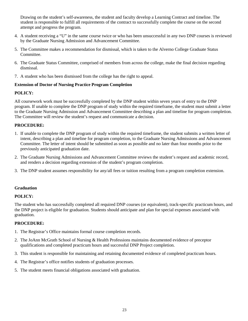Drawing on the student's self-awareness, the student and faculty develop a Learning Contract and timeline. The student is responsible to fulfill all requirements of the contract to successfully complete the course on the second attempt and progress the program.

- 4. A student receiving a "U" in the same course twice or who has been unsuccessful in any two DNP courses is reviewed by the Graduate Nursing Admission and Advancement Committee.
- 5. The Committee makes a recommendation for dismissal, which is taken to the Alverno College Graduate Status Committee.
- 6. The Graduate Status Committee, comprised of members from across the college, make the final decision regarding dismissal.
- 7. A student who has been dismissed from the college has the right to appeal.

## **Extension of Doctor of Nursing Practice Program Completion**

## **POLICY:**

All coursework work must be successfully completed by the DNP student within seven years of entry to the DNP program. If unable to complete the DNP program of study within the required timeframe, the student must submit a letter to the Graduate Nursing Admission and Advancement Committee describing a plan and timeline for program completion. The Committee will review the student's request and communicate a decision.

## **PROCEDURE:**

- 1. If unable to complete the DNP program of study within the required timeframe, the student submits a written letter of intent, describing a plan and timeline for program completion, to the Graduate Nursing Admissions and Advancement Committee. The letter of intent should be submitted as soon as possible and no later than four months prior to the previously anticipated graduation date.
- 2. The Graduate Nursing Admissions and Advancement Committee reviews the student's request and academic record, and renders a decision regarding extension of the student's program completion.
- 3. The DNP student assumes responsibility for any/all fees or tuition resulting from a program completion extension.

#### **Graduation**

#### **POLICY:**

The student who has successfully completed all required DNP courses (or equivalent), track-specific practicum hours, and the DNP project is eligible for graduation. Students should anticipate and plan for special expenses associated with graduation.

- 1. The Registrar's Office maintains formal course completion records.
- 2. The JoAnn McGrath School of Nursing & Health Professions maintains documented evidence of preceptor qualifications and completed practicum hours and successful DNP Project completion.
- 3. This student is responsible for maintaining and retaining documented evidence of completed practicum hours.
- 4. The Registrar's office notifies students of graduation processes.
- 5. The student meets financial obligations associated with graduation.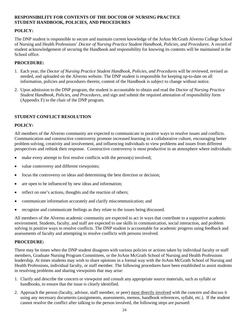## **RESPONSIBILITY FOR CONTENTS OF THE DOCTOR OF NURSING PRACTICE STUDENT HANDBOOK, POLICIES, AND PROCEDURES**

#### **POLICY:**

The DNP student is responsible to secure and maintain current knowledge of the JoAnn McGrath Alverno College School of Nursing and Health Professions' *Doctor of Nursing Practice Student Handbook, Policies, and Procedures*. A record of student acknowledgement of securing the Handbook and responsibility for knowing its contents will be maintained in the School office.

## **PROCEDURE:**

- 1. Each year, the *Doctor of Nursing Practice Student Handbook, Policies, and Procedures* will be reviewed, revised as needed, and uploaded on the Alverno website. The DNP student is responsible for keeping up-to-date on all information, policies and procedures therein; content of the Handbook is subject to change without notice.
- 2. Upon admission to the DNP program, the student is accountable to obtain and read the *Doctor of Nursing Practice Student Handbook, Policies, and Procedures,* and sign and submit the required attestation of responsibility form (Appendix F) to the chair of the DNP program.

## **STUDENT CONFLICT RESOLUTION**

#### **POLICY:**

All members of the Alverno community are expected to communicate in positive ways to resolve issues and conflicts. Communication and constructive controversy promote increased learning in a collaborative culture, encouraging better problem solving, creativity and involvement, and influencing individuals to view problems and issues from different perspectives and rethink their response. Constructive controversy is most productive in an atmosphere where individuals:

- make every attempt to first resolve conflicts with the person(s) involved;
- value controversy and different viewpoints;
- focus the controversy on ideas and determining the best direction or decision;
- are open to be influenced by new ideas and information;
- reflect on one's actions, thoughts and the reaction of others;
- communicate information accurately and clarify miscommunication; and
- recognize and communicate feelings as they relate to the issues being discussed.

All members of the Alverno academic community are expected to act in ways that contribute to a supportive academic environment. Students, faculty, and staff are expected to use skills in communication, social interaction, and problem solving in positive ways to resolve conflicts. The DNP student is accountable for academic progress using feedback and assessments of faculty and attempting to resolve conflicts with persons involved.

## **PROCEDURE:**

There may be times when the DNP student disagrees with various policies or actions taken by individual faculty or staff members, Graduate Nursing Program Committees, or the JoAnn McGrath School of Nursing and Health Professions leadership. At times students may wish to share opinions in a formal way with the JoAnn McGrath School of Nursing and Health Professions, individual faculty, or staff member. The following procedures have been established to assist students in resolving problems and sharing viewpoints that may arise:

- 1. Clarify and describe the concern or viewpoint and consult any appropriate source materials, such as syllabi or handbooks, to ensure that the issue is clearly identified.
- 2. Approach the person (faculty, advisor, staff member, or peer) most directly involved with the concern and discuss it using any necessary documents (assignments, assessments, memos, handbook references, syllabi, etc.). If the student cannot resolve the conflict after talking to the person involved, the following steps are pursued: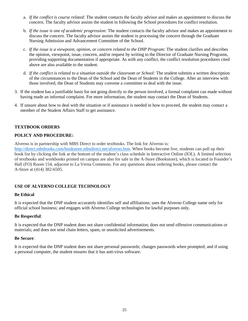- a. *If the conflict is course related:* The student contacts the faculty advisor and makes an appointment to discuss the concern. The faculty advisor assists the student in following the School procedures for conflict resolution.
- b. *If the issue is one of academic progression:* The student contacts the faculty advisor and makes an appointment to discuss the concern. The faculty advisor assists the student in processing the concern through the Graduate Nursing Admission and Advancement Committee of the School.
- c. *If the issue is a viewpoint, opinion, or concern related to the DNP Program:* The student clarifies and describes the opinion, viewpoint, issue, concern, and/or request by writing to the Director of Graduate Nursing Programs, providing supporting documentation if appropriate. As with any conflict, the conflict resolution procedures cited above are also available to the student.
- d. *If the conflict is related to a situation outside the classroom or School:* The student submits a written description of the circumstances to the Dean of the School and the Dean of Students in the College. After an interview with those involved, the Dean of Students may convene a committee to deal with the issue.
- 3. If the student has a justifiable basis for not going directly to the person involved, a formal complaint can made without having made an informal complaint. For more information, the student may contact the Dean of Students.
- 4. If unsure about how to deal with the situation or if assistance is needed in how to proceed, the student may contact a member of the Student Affairs Staff to get assistance.

## **TEXTBOOK ORDERS**

## **POLICY AND PROCEDURE:**

Alverno is in partnership with MBS Direct to order textbooks. The link for Alverno is: [http://direct.mbsbooks.com/bookstore.mbsdirect.net/alverno.htm.](http://direct.mbsbooks.com/bookstore.mbsdirect.net/alverno.htm) When books become live, students can pull up their book list by clicking the link at the bottom of the student's class schedule in Interactive Online (IOL). A limited selection of textbooks and workbooks printed on campus are also for sale in the A-Store (Bookstore), which is located in Founder's Hall (FO) Room 154, adjacent to La Verna Commons. For any questions about ordering books, please contact the A-Store at (414) 382-6505.

## **USE OF ALVERNO COLLEGE TECHNOLOGY**

#### **Be Ethical**

It is expected that the DNP student accurately identifies self and affiliations; uses the Alverno College name only for official school business; and engages with Alverno College technologies for lawful purposes only.

#### **Be Respectful**:

It is expected that the DNP student does not share confidential information; does not send offensive communications or materials; and does not send chain letters, spam, or unsolicited advertisements.

#### **Be Secure**:

It is expected that the DNP student does not share personal passwords; changes passwords when prompted; and if using a personal computer, the student ensures that it has anti-virus software.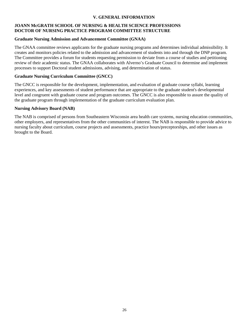## **V. GENERAL INFORMATION**

## **JOANN McGRATH SCHOOL OF NURSING & HEALTH SCIENCE PROFESSIONS DOCTOR OF NURSING PRACTICE PROGRAM COMMITTEE STRUCTURE**

#### **Graduate Nursing Admission and Advancement Committee (GNAA)**

The GNAA committee reviews applicants for the graduate nursing programs and determines individual admissibility. It creates and monitors policies related to the admission and advancement of students into and through the DNP program. The Committee provides a forum for students requesting permission to deviate from a course of studies and petitioning review of their academic status. The GNAA collaborates with Alverno's Graduate Council to determine and implement processes to support Doctoral student admissions, advising, and determination of status.

## **Graduate Nursing Curriculum Committee (GNCC)**

The GNCC is responsible for the development, implementation, and evaluation of graduate course syllabi, learning experiences, and key assessments of student performance that are appropriate to the graduate student's developmental level and congruent with graduate course and program outcomes. The GNCC is also responsible to assure the quality of the graduate program through implementation of the graduate curriculum evaluation plan.

## **Nursing Advisory Board (NAB)**

The NAB is comprised of persons from Southeastern Wisconsin area health care systems, nursing education communities, other employers, and representatives from the other communities of interest. The NAB is responsible to provide advice to nursing faculty about curriculum, course projects and assessments, practice hours/preceptorships, and other issues as brought to the Board.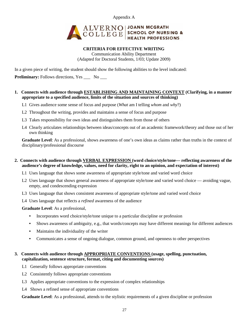Appendix A



#### **CRITERIA FOR EFFECTIVE WRITING**

Communication Ability Department (Adapted for Doctoral Students, 1/03; Update 2009)

In a given piece of writing, the student should show the following abilities to the level indicated:

**Preliminary:** Follows directions, Yes \_\_\_ No \_\_\_

## **1. Connects with audience through ESTABLISHING AND MAINTAINING CONTEXT (Clarifying, in a manner appropriate to a specified audience, limits of the situation and sources of thinking)**

- L1 Gives audience some sense of focus and purpose (*What* am I telling *whom* and *why*?)
- L2 Throughout the writing, provides and maintains a sense of focus and purpose
- L3 Takes responsibility for own ideas and distinguishes them from those of others
- L4 Clearly articulates relationships between ideas/concepts out of an academic framework/theory and those out of her own thinking

**Graduate Level**: As a professional, shows awareness of one's own ideas as claims rather than truths in the context of disciplinary/professional discourse

#### **2. Connects with audience through VERBAL EXPRESSION (word choice/style/tone— reflecting awareness of the audience's degree of knowledge, values, need for clarity, right to an opinion, and expectation of interest)**

- L1 Uses language that shows some awareness of appropriate style/tone and varied word choice
- L2 Uses language that shows general awareness of appropriate style/tone and varied word choice avoiding vague, empty, and condescending expression
- L3 Uses language that shows consistent awareness of appropriate style/tone and varied word choice
- L4 Uses language that reflects a *refined* awareness of the audience
- **Graduate Level**: As a professional,
	- Incorporates word choice/style/tone unique to a particular discipline or profession
	- Shows awareness of ambiguity, e.g., that words/concepts may have different meanings for different audiences
	- Maintains the individuality of the writer
	- Communicates a sense of ongoing dialogue, common ground, and openness to other perspectives

## **3. Connects with audience through APPROPRIATE CONVENTIONS (usage, spelling, punctuation, capitalization, sentence structure, format, citing and documenting sources)**

- L1 Generally follows appropriate conventions
- L2 Consistently follows appropriate conventions
- L3 Applies appropriate conventions to the expression of complex relationships
- L4 Shows a refined sense of appropriate conventions

**Graduate Level**: As a professional, attends to the stylistic requirements of a given discipline or profession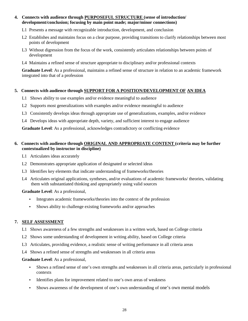## **4. Connects with audience through PURPOSEFUL STRUCTURE (sense of introduction/ development/conclusion; focusing by main point made; major/minor connections)**

- L1 Presents a message with recognizable introduction, development, and conclusion
- L2 Establishes and maintains focus on a clear purpose, providing transitions to clarify relationships between most points of development
- L3 Without digression from the focus of the work, consistently articulates relationships between points of development
- L4 Maintains a refined sense of structure appropriate to disciplinary and/or professional contexts

**Graduate Level**: As a professional, maintains a refined sense of structure in relation to an academic framework integrated into that of a profession

## **5. Connects with audience through SUPPORT FOR A POSITION/DEVELOPMENT OF AN IDEA**

- L1 Shows ability to use examples and/or evidence meaningful to audience
- L2 Supports most generalizations with examples and/or evidence meaningful to audience
- L3 Consistently develops ideas through appropriate use of generalizations, examples, and/or evidence
- L4 Develops ideas with appropriate depth, variety, and sufficient interest to engage audience

**Graduate Level**: As a professional, acknowledges contradictory or conflicting evidence

## **6. Connects with audience through ORIGINAL AND APPROPRIATE CONTENT (criteria may be further contextualized by instructor in discipline)**

- L1 Articulates ideas accurately
- L2 Demonstrates appropriate application of designated or selected ideas
- L3 Identifies key elements that indicate understanding of frameworks/theories
- L4 Articulates original applications, syntheses, and/or evaluations of academic frameworks/ theories, validating them with substantiated thinking and appropriately using valid sources

**Graduate Level**: As a professional,

- Integrates academic frameworks/theories into the context of the profession
- Shows ability to challenge existing frameworks and/or approaches

## **7. SELF ASSESSMENT**

- L1 Shows awareness of a few strengths and weaknesses in a written work, based on College criteria
- L2 Shows some understanding of development in writing ability, based on College criteria
- L3 Articulates, providing evidence, a realistic sense of writing performance in all criteria areas
- L4 Shows a refined sense of strengths and weaknesses in all criteria areas

#### **Graduate Level**: As a professional,

- Shows a refined sense of one's own strengths and weaknesses in all criteria areas, particularly in professional contexts
- Identifies plans for improvement related to one's own areas of weakness
- Shows awareness of the development of one's own understanding of one's own mental models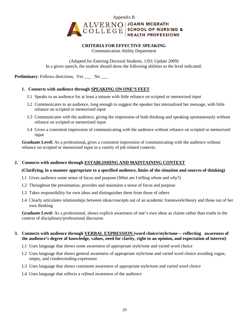

#### **CRITERIA FOR EFFECTIVE SPEAKING** Communication Ability Department

(Adapted for Entering Doctoral Students, 1/03; Update 2009) In a given speech, the student should show the following abilities to the level indicated:

**Preliminary**: Follows directions, Yes No

## **1. Connects with audience through SPEAKING ON ONE'S FEET**

- L1 Speaks to an audience for at least a minute with little reliance on scripted or memorized input
- L2 Communicates *to* an audience, long enough to suggest the speaker has internalized her message, with little reliance on scripted or memorized input
- L3 Communicates *with* the audience, giving the impression of both thinking and speaking spontaneously without reliance on scripted or memorized input
- L4 Gives a consistent impression of communicating *with* the audience without reliance on scripted or memorized input

**Graduate Level:** As a professional**,** gives a consistent impression of communicating with the audience without reliance on scripted or memorized input in a variety of job related contexts.

## **2. Connects with audience through ESTABLISHING AND MAINTAINING CONTEXT**

#### **(Clarifying, in a manner appropriate to a specified audience, limits of the situation and sources of thinking)**

- L1 Gives audience some sense of focus and purpose (*What* am I telling *whom* and *why*?)
- L2 Throughout the presentation, provides and maintains a sense of focus and purpose
- L3 Takes responsibility for own ideas and distinguishes them from those of others
- L4 Clearly articulates relationships between ideas/concepts out of an academic framework/theory and those out of her own thinking

**Graduate Level:** As a professional, shows explicit awareness of one's own ideas as claims rather than truths in the context of disciplinary/professional discourse.

#### **3. Connects with audience through VERBAL EXPRESSION (word choice/style/tone— reflecting awareness of the audience's degree of knowledge, values, need for clarity, right to an opinion, and expectation of interest)**

- L1 Uses language that shows some awareness of appropriate style/tone and varied word choice
- L2 Uses language that shows general awareness of appropriate style/tone and varied word choice avoiding vague, empty, and condescending expression
- L3 Uses language that shows consistent awareness of appropriate style/tone and varied word choice
- L4 Uses language that reflects a *refined* awareness of the audience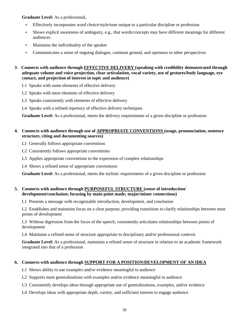**Graduate Level:** As a professional,

- Effectively incorporates word choice/style/tone unique to a particular discipline or profession
- Shows explicit awareness of ambiguity, e.g., that words/concepts may have different meanings for different audiences
- Maintains the individuality of the speaker
- Communicates a sense of ongoing dialogue, common ground, and openness to other perspectives
- **3**. **Connects with audience through EFFECTIVE DELIVERY (speaking with credibility demonstrated through adequate volume and voice projection, clear articulation, vocal variety, use of gestures/body language, eye contact, and projection of interest in topic and audience)**
	- L1 Speaks with some elements of effective delivery
	- L2 Speaks with most elements of effective delivery
	- L3 Speaks consistently with elements of effective delivery
	- L4 Speaks with a refined repertory of effective delivery techniques

**Graduate Level:** As a professional, meets the delivery requirements of a given discipline or profession

#### **4. Connects with audience through use of APPROPRIATE CONVENTIONS (usage, pronunciation, sentence structure, citing and documenting sources)**

- L1 Generally follows appropriate conventions
- L2 Consistently follows appropriate conventions
- L3 Applies appropriate conventions to the expression of complex relationships
- L4 Shows a refined sense of appropriate conventions

**Graduate Level:** As a professional, meets the stylistic requirements of a given discipline or profession

## **5. Connects with audience through PURPOSEFUL STRUCTURE (sense of introduction/ development/conclusion; focusing by main point made; major/minor connections)**

L1 Presents a message with recognizable introduction, development, and conclusion

L2 Establishes and maintains focus on a clear purpose, providing transitions to clarify relationships between most points of development

L3 Without digression from the focus of the speech, consistently articulates relationships between points of development

L4 Maintains a refined sense of structure appropriate to disciplinary and/or professional contexts

**Graduate Level:** As a professional, maintains a refined sense of structure in relation to an academic framework integrated into that of a profession

## **6. Connects with audience through SUPPORT FOR A POSITION/DEVELOPMENT OF AN IDEA**

- L1 Shows ability to use examples and/or evidence meaningful to audience
- L2 Supports most generalizations with examples and/or evidence meaningful to audience
- L3 Consistently develops ideas through appropriate use of generalizations, examples, and/or evidence
- L4 Develops ideas with appropriate depth, variety, and sufficient interest to engage audience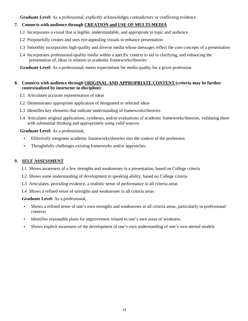**Graduate Level:** As a professional, explicitly acknowledges contradictory or conflicting evidence

## **7. Connects with audience through CREATION and USE OF MULTI-MEDIA**

- L1 Incorporates a visual that is legible, understandable, and appropriate to topic and audience
- L2 Purposefully creates and uses eye-appealing visuals to enhance presentation
- L3 Smoothly incorporates high-quality and diverse media whose messages reflect the core concepts of a presentation
- L4 Incorporates professional-quality media within a specific context to aid in clarifying, and enhancing the presentation of, ideas in relation to academic frameworks/theories

**Graduate Level:** As a professional, meets expectations for media quality for a given profession

## **8. Connects with audience through ORIGINAL AND APPROPRIATE CONTENT (criteria may be further contextualized by instructor in discipline)**

- L1 Articulates accurate representation of ideas
- L2 Demonstrates appropriate application of designated or selected ideas
- L3 Identifies key elements that indicate understanding of frameworks/theories
- L4 Articulates original applications, syntheses, and/or evaluations of academic frameworks/theories, validating them with substantial thinking and appropriately using valid sources

## **Graduate Level:** As a professional,

- Effectively integrates academic frameworks/theories into the context of the profession
- Thoughtfully challenges existing frameworks and/or approaches

#### **9. SELF ASSESSMENT**

- L1 Shows awareness of a few strengths and weaknesses in a presentation, based on College criteria
- L2 Shows some understanding of development in speaking ability, based on College criteria
- L3 Articulates, providing evidence, a realistic sense of performance in all criteria areas
- L4 Shows a refined sense of strengths and weaknesses in all criteria areas

#### **Graduate Level:** As a professional,

- Shows a refined sense of one's own strengths and weaknesses in all criteria areas, particularly in professional contexts
- Identifies reasonable plans for improvement related to one's own areas of weakness
- Shows explicit awareness of the development of one's own understanding of one's own mental models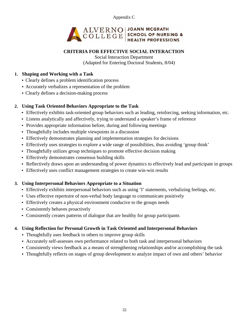Appendix C



# **CRITERIA FOR EFFECTIVE SOCIAL INTERACTION**

Social Interaction Department (Adapted for Entering Doctoral Students, 8/04)

## **1. Shaping and Working with a Task**

- Clearly defines a problem identification process
- Accurately verbalizes a representation of the problem
- Clearly defines a decision-making process

# **2. Using Task Oriented Behaviors Appropriate to the Task**

- Effectively exhibits task-oriented group behaviors such as leading, reinforcing, seeking information, etc.
- Listens analytically and affectively, trying to understand a speaker's frame of reference
- Provides appropriate information before, during and following meetings
- Thoughtfully includes multiple viewpoints in a discussion
- Effectively demonstrates planning and implementation strategies for decisions
- Effectively uses strategies to explore a wide range of possibilities, thus avoiding 'group think'
- Thoughtfully utilizes group techniques to promote effective decision making
- Effectively demonstrates consensus building skills
- Reflectively draws upon an understanding of power dynamics to effectively lead and participate in groups
- Effectively uses conflict management strategies to create win-win results

# **3. Using Interpersonal Behaviors Appropriate to a Situation**

- Effectively exhibits interpersonal behaviors such as using 'I' statements, verbalizing feelings, etc.
- Uses effective repertoire of non-verbal body language to communicate positively
- Effectively creates a physical environment conducive to the groups needs
- Consistently behaves proactively
- Consistently creates patterns of dialogue that are healthy for group participants

## **4. Using Reflection for Personal Growth in Task Oriented and Interpersonal Behaviors**

- Thoughtfully uses feedback to others to improve group skills
- Accurately self-assesses own performance related to both task and interpersonal behaviors
- Consistently views feedback as a means of strengthening relationships and/or accomplishing the task
- Thoughtfully reflects on stages of group development to analyze impact of own and others' behavior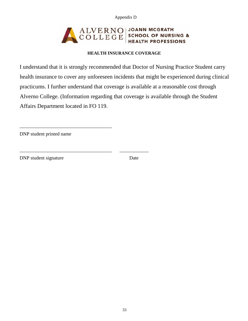Appendix D

#### ALVERNO **JOANN MCGRATH SCHOOL OF NURSING & HEALTH PROFESSIONS**

# **HEALTH INSURANCE COVERAGE**

I understand that it is strongly recommended that Doctor of Nursing Practice Student carry health insurance to cover any unforeseen incidents that might be experienced during clinical practicums. I further understand that coverage is available at a reasonable cost through Alverno College. (Information regarding that coverage is available through the Student Affairs Department located in FO 119.

DNP student printed name

\_\_\_\_\_\_\_\_\_\_\_\_\_\_\_\_\_\_\_\_\_\_\_\_\_\_\_\_\_\_\_\_\_\_\_\_\_\_

\_\_\_\_\_\_\_\_\_\_\_\_\_\_\_\_\_\_\_\_\_\_\_\_\_\_\_\_\_\_\_\_\_\_\_\_\_\_ \_\_\_\_\_\_\_\_\_\_\_\_

DNP student signature Date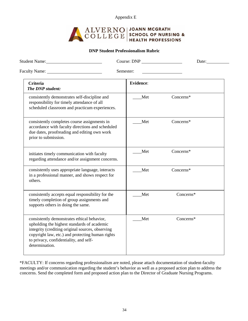Appendix E



#### **DNP Student Professionalism Rubric**

| Student Name: Name and Student Name and Student Name and Student Name and Student Name and Student Student Student Student Student Student Student Student Student Student Student Student Student Student Student Student Stu                                 | Course: DNP      | Date:     |
|----------------------------------------------------------------------------------------------------------------------------------------------------------------------------------------------------------------------------------------------------------------|------------------|-----------|
| Faculty Name: 1988                                                                                                                                                                                                                                             | Semester:        |           |
| <b>Criteria</b><br>The DNP student:                                                                                                                                                                                                                            | <b>Evidence:</b> |           |
| consistently demonstrates self-discipline and<br>responsibility for timely attendance of all<br>scheduled classroom and practicum experiences.                                                                                                                 | Met              | Concerns* |
| consistently completes course assignments in<br>accordance with faculty directions and scheduled<br>due dates, proofreading and editing own work<br>prior to submission.                                                                                       | Met              | Concerns* |
| initiates timely communication with faculty<br>regarding attendance and/or assignment concerns.                                                                                                                                                                | Met              | Concerns* |
| consistently uses appropriate language, interacts<br>in a professional manner, and shows respect for<br>others.                                                                                                                                                | Met              | Concerns* |
| consistently accepts equal responsibility for the<br>timely completion of group assignments and<br>supports others in doing the same.                                                                                                                          | Met              | Concerns* |
| consistently demonstrates ethical behavior,<br>upholding the highest standards of academic<br>integrity (crediting original sources, observing<br>copyright law, etc.) and protecting human rights<br>to privacy, confidentiality, and self-<br>determination. | Met              | Concerns* |

\*FACULTY: If concerns regarding professionalism are noted, please attach documentation of student-faculty meetings and/or communication regarding the student's behavior as well as a proposed action plan to address the concerns. Send the completed form and proposed action plan to the Director of Graduate Nursing Programs.